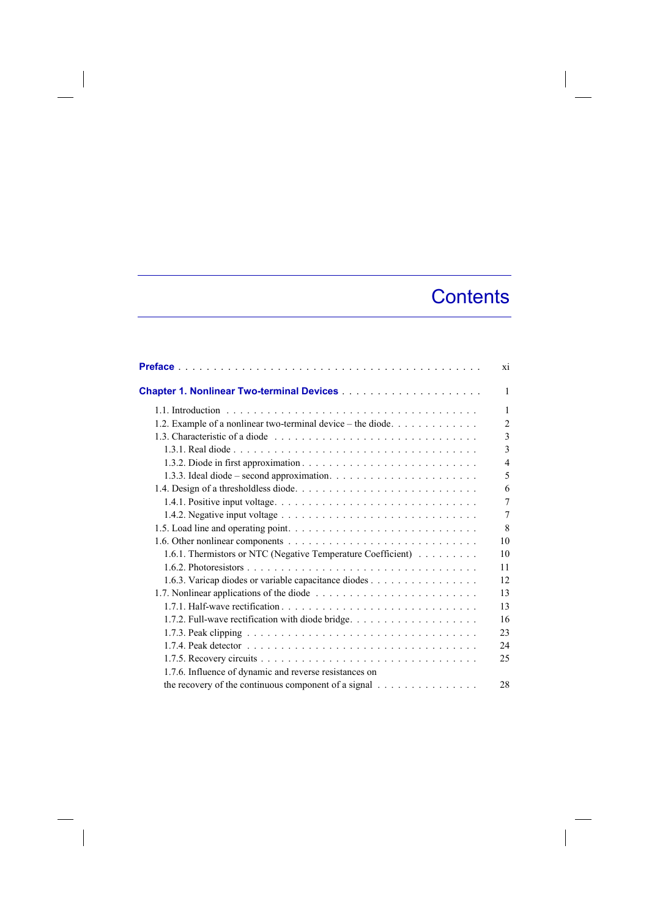## **Contents**

 $\overline{\phantom{a}}$ 

|                                                                 | xi             |
|-----------------------------------------------------------------|----------------|
|                                                                 | 1              |
|                                                                 | $\mathbf{1}$   |
| 1.2. Example of a nonlinear two-terminal device – the diode.    | $\overline{2}$ |
|                                                                 | $\overline{3}$ |
|                                                                 | 3              |
|                                                                 | $\overline{4}$ |
|                                                                 | 5              |
|                                                                 | 6              |
|                                                                 | $\overline{7}$ |
|                                                                 | 7              |
|                                                                 | 8              |
|                                                                 | 10             |
| 1.6.1. Thermistors or NTC (Negative Temperature Coefficient)    | 10             |
|                                                                 | 11             |
| 1.6.3. Varicap diodes or variable capacitance diodes            | 12             |
|                                                                 | 13             |
|                                                                 | 13             |
|                                                                 | 16             |
|                                                                 | 23             |
|                                                                 | 24             |
|                                                                 | 25             |
| 1.7.6. Influence of dynamic and reverse resistances on          |                |
| the recovery of the continuous component of a signal $\ldots$ , | 28             |

 $\overline{\phantom{a}}$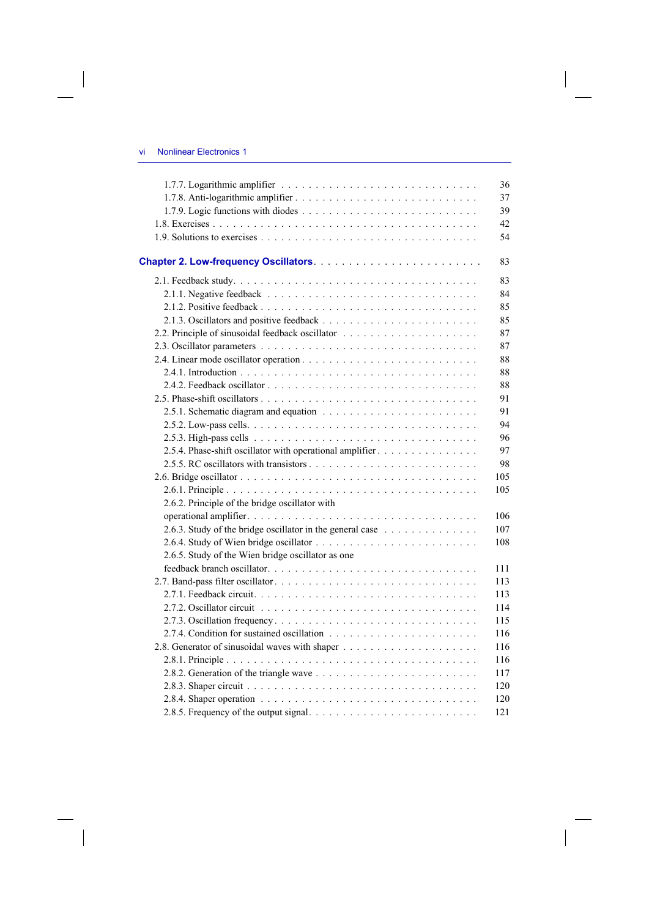$\overline{\phantom{a}}$ 

 $\begin{array}{c} \hline \end{array}$ 

|                                                           | 36  |
|-----------------------------------------------------------|-----|
|                                                           | 37  |
|                                                           | 39  |
|                                                           | 42  |
|                                                           | 54  |
|                                                           | 83  |
|                                                           | 83  |
|                                                           | 84  |
|                                                           | 85  |
|                                                           | 85  |
|                                                           | 87  |
|                                                           | 87  |
|                                                           | 88  |
|                                                           | 88  |
|                                                           | 88  |
|                                                           | 91  |
|                                                           | 91  |
|                                                           | 94  |
|                                                           | 96  |
| 2.5.4. Phase-shift oscillator with operational amplifier  | 97  |
|                                                           | 98  |
|                                                           | 105 |
|                                                           | 105 |
| 2.6.2. Principle of the bridge oscillator with            |     |
|                                                           | 106 |
| 2.6.3. Study of the bridge oscillator in the general case | 107 |
|                                                           | 108 |
| 2.6.5. Study of the Wien bridge oscillator as one         |     |
|                                                           | 111 |
|                                                           | 113 |
|                                                           | 113 |
|                                                           | 114 |
|                                                           | 115 |
|                                                           | 116 |
|                                                           | 116 |
|                                                           | 116 |
|                                                           | 117 |
|                                                           | 120 |
|                                                           | 120 |
|                                                           | 121 |

 $\Big\}$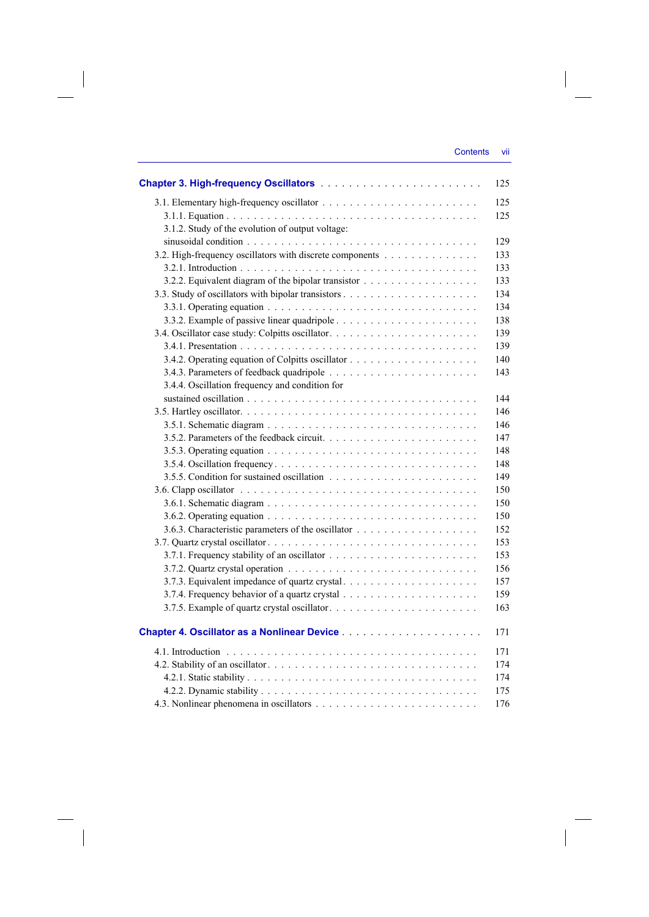| 3.1.2. Study of the evolution of output voltage:         |
|----------------------------------------------------------|
|                                                          |
| 3.2. High-frequency oscillators with discrete components |
|                                                          |
|                                                          |
|                                                          |
|                                                          |
|                                                          |
|                                                          |
|                                                          |
|                                                          |
|                                                          |
| 3.4.4. Oscillation frequency and condition for           |
|                                                          |
|                                                          |
|                                                          |
|                                                          |
|                                                          |
|                                                          |
|                                                          |
|                                                          |
|                                                          |
|                                                          |
|                                                          |
|                                                          |
|                                                          |
|                                                          |
| 3.7.3. Equivalent impedance of quartz crystal            |
|                                                          |
|                                                          |
|                                                          |
|                                                          |
|                                                          |
|                                                          |
|                                                          |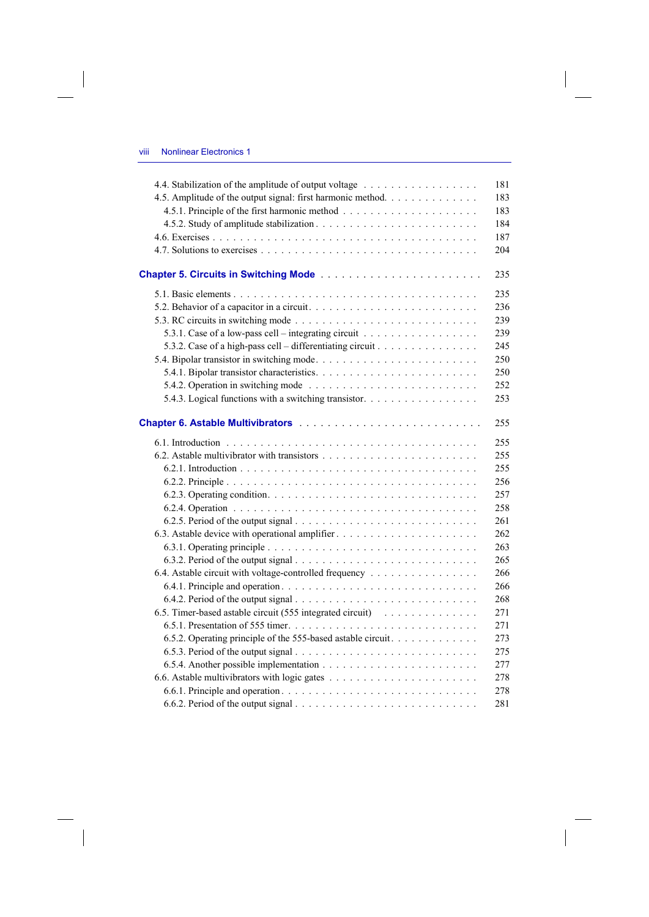$\overline{\phantom{a}}$ 

 $\overline{\phantom{a}}$ 

|                                                              | 181 |
|--------------------------------------------------------------|-----|
| 4.5. Amplitude of the output signal: first harmonic method.  | 183 |
|                                                              | 183 |
|                                                              | 184 |
|                                                              | 187 |
|                                                              | 204 |
|                                                              | 235 |
|                                                              | 235 |
|                                                              | 236 |
|                                                              | 239 |
| 5.3.1. Case of a low-pass cell – integrating circuit         | 239 |
| 5.3.2. Case of a high-pass cell – differentiating circuit    | 245 |
|                                                              | 250 |
|                                                              | 250 |
|                                                              | 252 |
| 5.4.3. Logical functions with a switching transistor.        | 253 |
|                                                              | 255 |
|                                                              | 255 |
|                                                              | 255 |
|                                                              | 255 |
|                                                              | 256 |
|                                                              | 257 |
|                                                              | 258 |
|                                                              | 261 |
|                                                              | 262 |
|                                                              | 263 |
|                                                              | 265 |
| 6.4. Astable circuit with voltage-controlled frequency       | 266 |
|                                                              | 266 |
|                                                              | 268 |
| 6.5. Timer-based astable circuit (555 integrated circuit)    | 271 |
|                                                              | 271 |
| 6.5.2. Operating principle of the 555-based astable circuit. | 273 |
|                                                              | 275 |
|                                                              | 277 |
|                                                              | 278 |
|                                                              | 278 |
|                                                              | 281 |